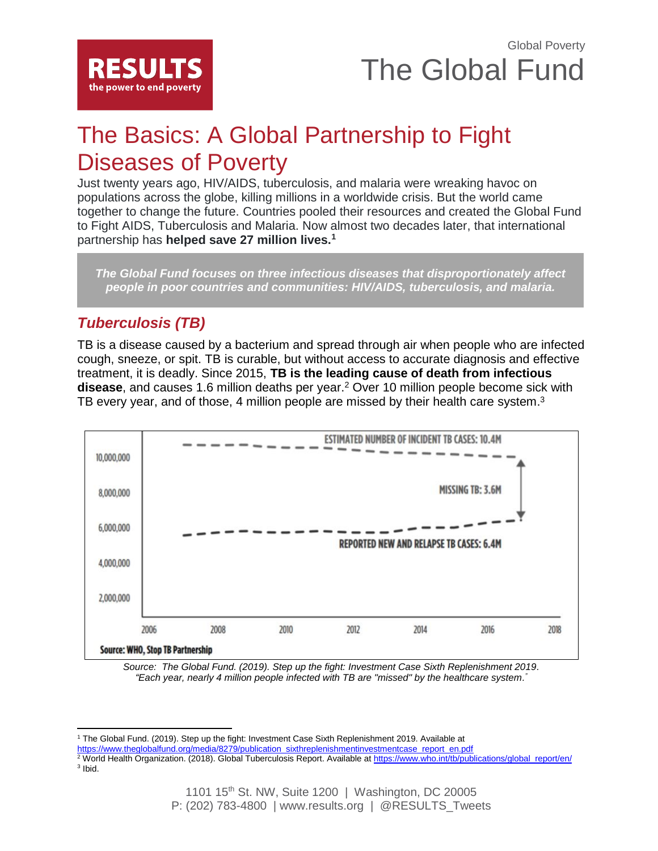

# The Basics: A Global Partnership to Fight Diseases of Poverty

Just twenty years ago, HIV/AIDS, tuberculosis, and malaria were wreaking havoc on populations across the globe, killing millions in a worldwide crisis. But the world came together to change the future. Countries pooled their resources and created the Global Fund to Fight AIDS, Tuberculosis and Malaria. Now almost two decades later, that international partnership has **helped save 27 million lives.<sup>1</sup>**

*The Global Fund focuses on three infectious diseases that disproportionately affect people in poor countries and communities: HIV/AIDS, tuberculosis, and malaria.*

## *Tuberculosis (TB)*

 $\overline{\phantom{a}}$ 

TB is a disease caused by a bacterium and spread through air when people who are infected cough, sneeze, or spit. TB is curable, but without access to accurate diagnosis and effective treatment, it is deadly. Since 2015, **TB is the leading cause of death from infectious disease**, and causes 1.6 million deaths per year.<sup>2</sup> Over 10 million people become sick with TB every year, and of those, 4 million people are missed by their health care system. $3$ 



*Source: The Global Fund. (2019). Step up the fight: Investment Case Sixth Replenishment 2019. "Each year, nearly 4 million people infected with TB are "missed" by the healthcare system. "*

<sup>1</sup> The Global Fund. (2019). Step up the fight: Investment Case Sixth Replenishment 2019. Available at

- [https://www.theglobalfund.org/media/8279/publication\\_sixthreplenishmentinvestmentcase\\_report\\_en.pdf](https://www.theglobalfund.org/media/8279/publication_sixthreplenishmentinvestmentcase_report_en.pdf)
- $^2$  World Health Organization. (2018). Global Tuberculosis Report. Available at [https://www.who.int/tb/publications/global\\_report/en/](https://www.who.int/tb/publications/global_report/en/) <sup>3</sup> Ibid.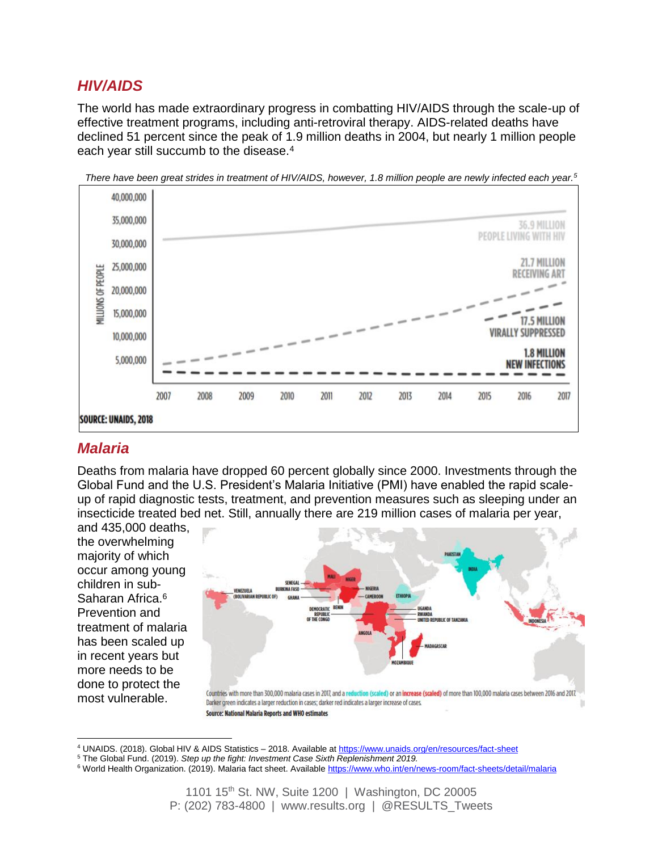### *HIV/AIDS*

The world has made extraordinary progress in combatting HIV/AIDS through the scale-up of effective treatment programs, including anti-retroviral therapy. AIDS-related deaths have declined 51 percent since the peak of 1.9 million deaths in 2004, but nearly 1 million people each year still succumb to the disease.<sup>4</sup>



*There have been great strides in treatment of HIV/AIDS, however, 1.8 million people are newly infected each year.<sup>5</sup>*

### *Malaria*

Deaths from malaria have dropped 60 percent globally since 2000. Investments through the Global Fund and the U.S. President's Malaria Initiative (PMI) have enabled the rapid scaleup of rapid diagnostic tests, treatment, and prevention measures such as sleeping under an insecticide treated bed net. Still, annually there are 219 million cases of malaria per year,

and 435,000 deaths, the overwhelming majority of which occur among young children in sub-Saharan Africa.<sup>6</sup> Prevention and treatment of malaria has been scaled up in recent years but more needs to be done to protect the most vulnerable.

 $\overline{\phantom{a}}$ 



<sup>4</sup> UNAIDS. (2018). Global HIV & AIDS Statistics – 2018. Available a[t https://www.unaids.org/en/resources/fact-sheet](https://www.unaids.org/en/resources/fact-sheet)

<sup>5</sup> The Global Fund. (2019). *Step up the fight: Investment Case Sixth Replenishment 2019.*

<sup>&</sup>lt;sup>6</sup> World Health Organization. (2019). Malaria fact sheet. Available<https://www.who.int/en/news-room/fact-sheets/detail/malaria>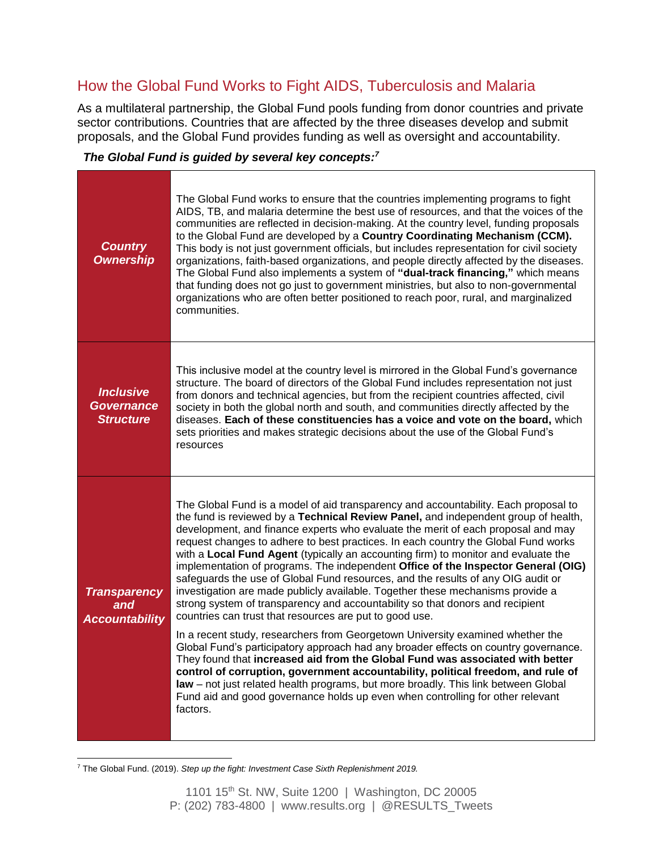### How the Global Fund Works to Fight AIDS, Tuberculosis and Malaria

As a multilateral partnership, the Global Fund pools funding from donor countries and private sector contributions. Countries that are affected by the three diseases develop and submit proposals, and the Global Fund provides funding as well as oversight and accountability.

### *The Global Fund is guided by several key concepts:<sup>7</sup>*

| <b>Country</b><br><b>Ownership</b>                        | The Global Fund works to ensure that the countries implementing programs to fight<br>AIDS, TB, and malaria determine the best use of resources, and that the voices of the<br>communities are reflected in decision-making. At the country level, funding proposals<br>to the Global Fund are developed by a Country Coordinating Mechanism (CCM).<br>This body is not just government officials, but includes representation for civil society<br>organizations, faith-based organizations, and people directly affected by the diseases.<br>The Global Fund also implements a system of "dual-track financing," which means<br>that funding does not go just to government ministries, but also to non-governmental<br>organizations who are often better positioned to reach poor, rural, and marginalized<br>communities.                                                                                                                                                                                                                                                                                                                                                                                                                                                                                                                                                      |  |  |  |  |  |  |
|-----------------------------------------------------------|------------------------------------------------------------------------------------------------------------------------------------------------------------------------------------------------------------------------------------------------------------------------------------------------------------------------------------------------------------------------------------------------------------------------------------------------------------------------------------------------------------------------------------------------------------------------------------------------------------------------------------------------------------------------------------------------------------------------------------------------------------------------------------------------------------------------------------------------------------------------------------------------------------------------------------------------------------------------------------------------------------------------------------------------------------------------------------------------------------------------------------------------------------------------------------------------------------------------------------------------------------------------------------------------------------------------------------------------------------------------------------|--|--|--|--|--|--|
| <b>Inclusive</b><br><b>Governance</b><br><b>Structure</b> | This inclusive model at the country level is mirrored in the Global Fund's governance<br>structure. The board of directors of the Global Fund includes representation not just<br>from donors and technical agencies, but from the recipient countries affected, civil<br>society in both the global north and south, and communities directly affected by the<br>diseases. Each of these constituencies has a voice and vote on the board, which<br>sets priorities and makes strategic decisions about the use of the Global Fund's<br>resources                                                                                                                                                                                                                                                                                                                                                                                                                                                                                                                                                                                                                                                                                                                                                                                                                                 |  |  |  |  |  |  |
| <b>Transparency</b><br>and<br><b>Accountability</b>       | The Global Fund is a model of aid transparency and accountability. Each proposal to<br>the fund is reviewed by a Technical Review Panel, and independent group of health,<br>development, and finance experts who evaluate the merit of each proposal and may<br>request changes to adhere to best practices. In each country the Global Fund works<br>with a Local Fund Agent (typically an accounting firm) to monitor and evaluate the<br>implementation of programs. The independent Office of the Inspector General (OIG)<br>safeguards the use of Global Fund resources, and the results of any OIG audit or<br>investigation are made publicly available. Together these mechanisms provide a<br>strong system of transparency and accountability so that donors and recipient<br>countries can trust that resources are put to good use.<br>In a recent study, researchers from Georgetown University examined whether the<br>Global Fund's participatory approach had any broader effects on country governance.<br>They found that increased aid from the Global Fund was associated with better<br>control of corruption, government accountability, political freedom, and rule of<br>law - not just related health programs, but more broadly. This link between Global<br>Fund aid and good governance holds up even when controlling for other relevant<br>factors. |  |  |  |  |  |  |

 $\overline{\phantom{a}}$ <sup>7</sup> The Global Fund. (2019). *Step up the fight: Investment Case Sixth Replenishment 2019.*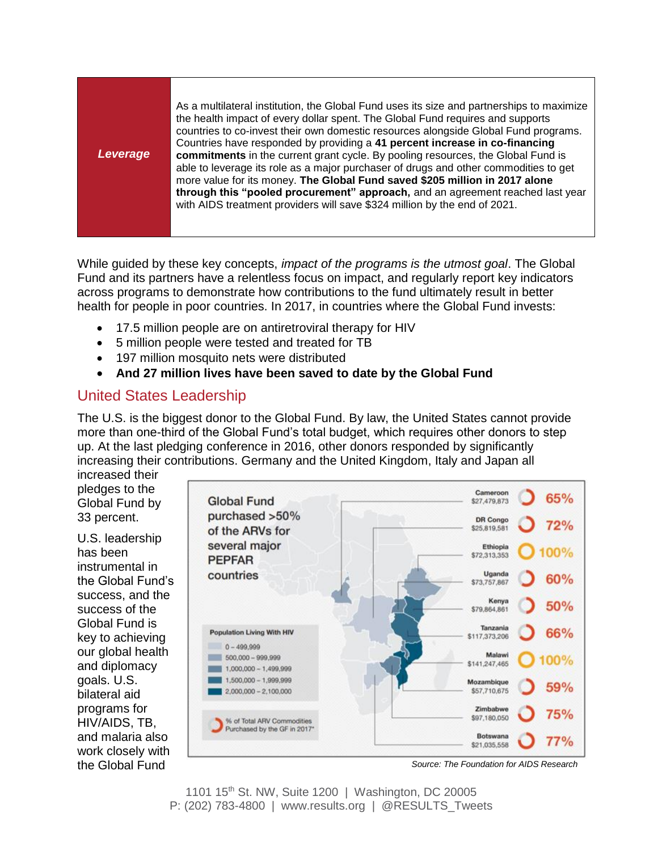*Leverage* As a multilateral institution, the Global Fund uses its size and partnerships to maximize the health impact of every dollar spent. The Global Fund requires and supports countries to co-invest their own domestic resources alongside Global Fund programs. Countries have responded by providing a **41 percent increase in co-financing commitments** in the current grant cycle. By pooling resources, the Global Fund is able to leverage its role as a major purchaser of drugs and other commodities to get more value for its money. **The Global Fund saved \$205 million in 2017 alone through this "pooled procurement" approach,** and an agreement reached last year with AIDS treatment providers will save \$324 million by the end of 2021.

While guided by these key concepts, *impact of the programs is the utmost goal*. The Global Fund and its partners have a relentless focus on impact, and regularly report key indicators across programs to demonstrate how contributions to the fund ultimately result in better health for people in poor countries. In 2017, in countries where the Global Fund invests:

- 17.5 million people are on antiretroviral therapy for HIV
- 5 million people were tested and treated for TB
- 197 million mosquito nets were distributed
- **And 27 million lives have been saved to date by the Global Fund**

## United States Leadership

The U.S. is the biggest donor to the Global Fund. By law, the United States cannot provide more than one-third of the Global Fund's total budget, which requires other donors to step up. At the last pledging conference in 2016, other donors responded by significantly increasing their contributions. Germany and the United Kingdom, Italy and Japan all

increased their pledges to the Global Fund by 33 percent.

U.S. leadership has been instrumental in the Global Fund's success, and the success of the Global Fund is key to achieving our global health and diplomacy goals. U.S. bilateral aid programs for HIV/AIDS, TB, and malaria also work closely with



the Global Fund *Source: The Foundation for AIDS Research*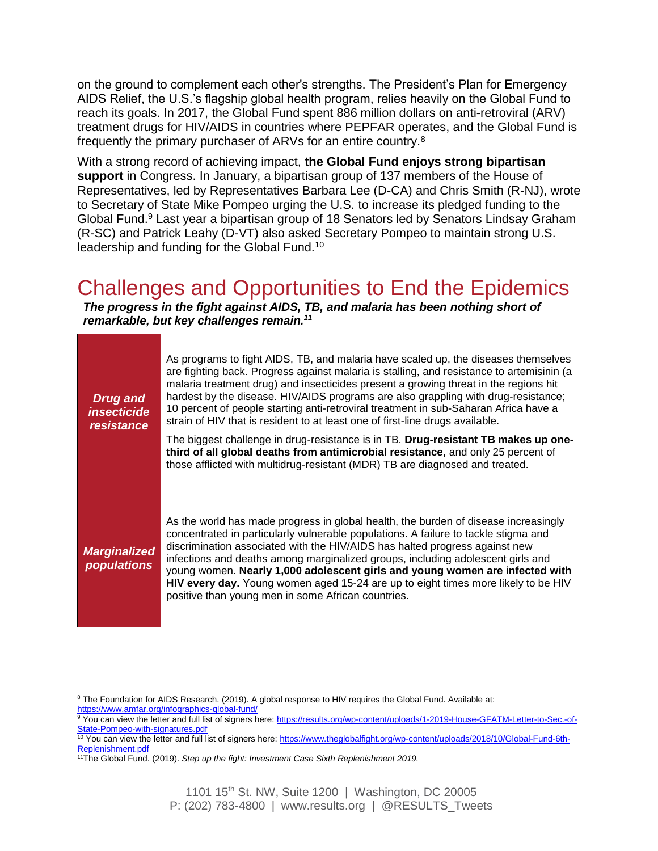on the ground to complement each other's strengths. The President's Plan for Emergency AIDS Relief, the U.S.'s flagship global health program, relies heavily on the Global Fund to reach its goals. In 2017, the Global Fund spent 886 million dollars on anti-retroviral (ARV) treatment drugs for HIV/AIDS in countries where PEPFAR operates, and the Global Fund is frequently the primary purchaser of ARVs for an entire country.<sup>8</sup>

With a strong record of achieving impact, **the Global Fund enjoys strong bipartisan support** in Congress. In January, a bipartisan group of 137 members of the House of Representatives, led by Representatives Barbara Lee (D-CA) and Chris Smith (R-NJ), wrote to Secretary of State Mike Pompeo urging the U.S. to increase its pledged funding to the Global Fund.<sup>9</sup> Last year a bipartisan group of 18 Senators led by Senators Lindsay Graham (R-SC) and Patrick Leahy (D-VT) also asked Secretary Pompeo to maintain strong U.S. leadership and funding for the Global Fund.<sup>10</sup>

## Challenges and Opportunities to End the Epidemics

*The progress in the fight against AIDS, TB, and malaria has been nothing short of remarkable, but key challenges remain.<sup>11</sup>*

| <b>Drug and</b><br><i><b>insecticide</b></i><br>resistance | As programs to fight AIDS, TB, and malaria have scaled up, the diseases themselves<br>are fighting back. Progress against malaria is stalling, and resistance to artemisinin (a<br>malaria treatment drug) and insecticides present a growing threat in the regions hit<br>hardest by the disease. HIV/AIDS programs are also grappling with drug-resistance;<br>10 percent of people starting anti-retroviral treatment in sub-Saharan Africa have a<br>strain of HIV that is resident to at least one of first-line drugs available.<br>The biggest challenge in drug-resistance is in TB. Drug-resistant TB makes up one-<br>third of all global deaths from antimicrobial resistance, and only 25 percent of<br>those afflicted with multidrug-resistant (MDR) TB are diagnosed and treated. |
|------------------------------------------------------------|--------------------------------------------------------------------------------------------------------------------------------------------------------------------------------------------------------------------------------------------------------------------------------------------------------------------------------------------------------------------------------------------------------------------------------------------------------------------------------------------------------------------------------------------------------------------------------------------------------------------------------------------------------------------------------------------------------------------------------------------------------------------------------------------------|
| <b>Marginalized</b><br><b>populations</b>                  | As the world has made progress in global health, the burden of disease increasingly<br>concentrated in particularly vulnerable populations. A failure to tackle stigma and<br>discrimination associated with the HIV/AIDS has halted progress against new<br>infections and deaths among marginalized groups, including adolescent girls and<br>young women. Nearly 1,000 adolescent girls and young women are infected with<br>HIV every day. Young women aged 15-24 are up to eight times more likely to be HIV<br>positive than young men in some African countries.                                                                                                                                                                                                                          |

l <sup>8</sup> The Foundation for AIDS Research. (2019). A global response to HIV requires the Global Fund. Available at: <https://www.amfar.org/infographics-global-fund/>

<sup>9</sup> You can view the letter and full list of signers here[: https://results.org/wp-content/uploads/1-2019-House-GFATM-Letter-to-Sec.-of-](https://results.org/wp-content/uploads/1-2019-House-GFATM-Letter-to-Sec.-of-State-Pompeo-with-signatures.pdf)[State-Pompeo-with-signatures.pdf](https://results.org/wp-content/uploads/1-2019-House-GFATM-Letter-to-Sec.-of-State-Pompeo-with-signatures.pdf)

<sup>10</sup> You can view the letter and full list of signers here[: https://www.theglobalfight.org/wp-content/uploads/2018/10/Global-Fund-6th-](https://www.theglobalfight.org/wp-content/uploads/2018/10/Global-Fund-6th-Replenishment.pdf)[Replenishment.pdf](https://www.theglobalfight.org/wp-content/uploads/2018/10/Global-Fund-6th-Replenishment.pdf)

<sup>11</sup>The Global Fund. (2019). *Step up the fight: Investment Case Sixth Replenishment 2019.*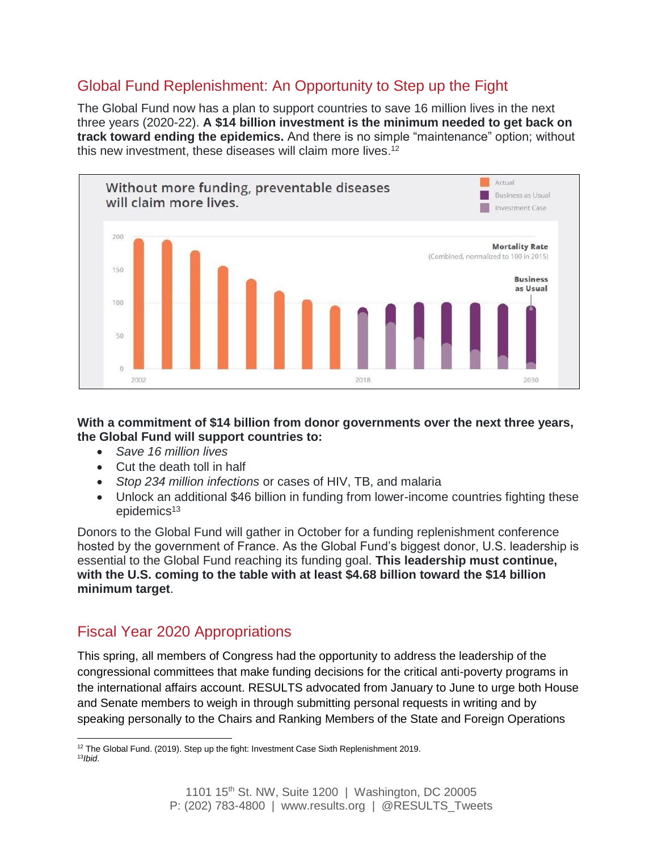### Global Fund Replenishment: An Opportunity to Step up the Fight

The Global Fund now has a plan to support countries to save 16 million lives in the next three years (2020-22). **A \$14 billion investment is the minimum needed to get back on track toward ending the epidemics.** And there is no simple "maintenance" option; without this new investment, these diseases will claim more lives.<sup>12</sup>



#### **With a commitment of \$14 billion from donor governments over the next three years, the Global Fund will support countries to:**

- *Save 16 million lives*
- Cut the death toll in half
- *Stop 234 million infections* or cases of HIV, TB, and malaria
- Unlock an additional \$46 billion in funding from lower-income countries fighting these epidemics $13$

Donors to the Global Fund will gather in October for a funding replenishment conference hosted by the government of France. As the Global Fund's biggest donor, U.S. leadership is essential to the Global Fund reaching its funding goal. **This leadership must continue, with the U.S. coming to the table with at least \$4.68 billion toward the \$14 billion minimum target**.

## Fiscal Year 2020 Appropriations

This spring, all members of Congress had the opportunity to address the leadership of the congressional committees that make funding decisions for the critical anti-poverty programs in the international affairs account. RESULTS advocated from January to June to urge both House and Senate members to weigh in through submitting personal requests in writing and by speaking personally to the Chairs and Ranking Members of the State and Foreign Operations

 $\overline{\phantom{a}}$  $12$  The Global Fund. (2019). Step up the fight: Investment Case Sixth Replenishment 2019. 13*Ibid*.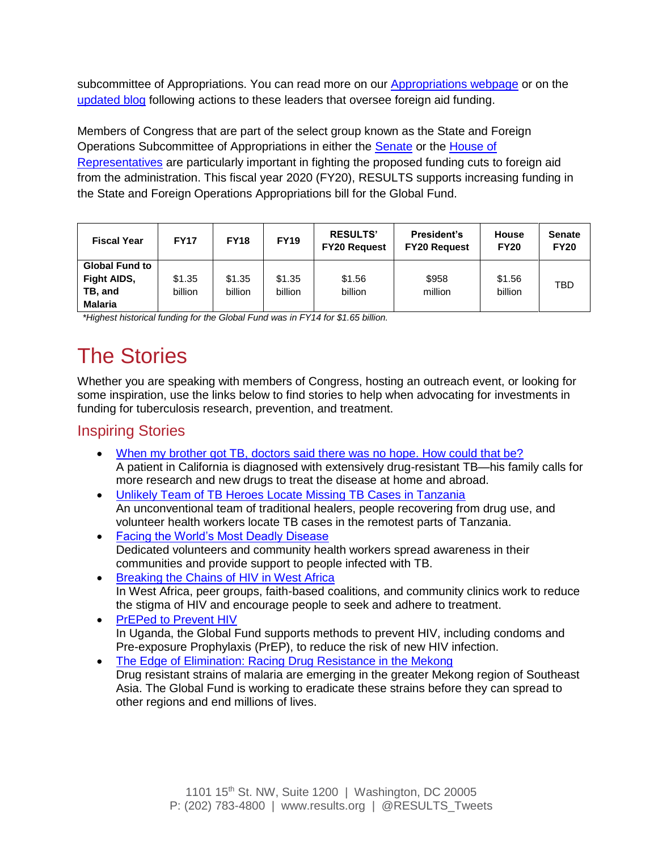subcommittee of Appropriations. You can read more on our [Appropriations webpage](http://www.results.org/issues/appropriations) or on the [updated blog](https://results.org/blog/and-now-the-appropriations-march-madness-begins/) following actions to these leaders that oversee foreign aid funding.

Members of Congress that are part of the select group known as the State and Foreign Operations Subcommittee of Appropriations in either the [Senate](https://www.appropriations.senate.gov/subcommittees/state-foreign-operations-and-related-programs) or the [House of](https://appropriations.house.gov/subcommittees/state-foreign-operations-and-related-programs-116th-congress)  [Representatives](https://appropriations.house.gov/subcommittees/state-foreign-operations-and-related-programs-116th-congress) are particularly important in fighting the proposed funding cuts to foreign aid from the administration. This fiscal year 2020 (FY20), RESULTS supports increasing funding in the State and Foreign Operations Appropriations bill for the Global Fund.

| <b>Fiscal Year</b>                                                       | <b>FY17</b>       | <b>FY18</b>       | <b>FY19</b>       | <b>RESULTS'</b><br><b>FY20 Request</b> | President's<br><b>FY20 Request</b> | <b>House</b><br><b>FY20</b> | <b>Senate</b><br><b>FY20</b> |
|--------------------------------------------------------------------------|-------------------|-------------------|-------------------|----------------------------------------|------------------------------------|-----------------------------|------------------------------|
| <b>Global Fund to</b><br><b>Fight AIDS,</b><br>TB, and<br><b>Malaria</b> | \$1.35<br>billion | \$1.35<br>billion | \$1.35<br>billion | \$1.56<br>billion                      | \$958<br>million                   | \$1.56<br>billion           | TBD                          |

 *\*Highest historical funding for the Global Fund was in FY14 for \$1.65 billion.* 

# The Stories

Whether you are speaking with members of Congress, hosting an outreach event, or looking for some inspiration, use the links below to find stories to help when advocating for investments in funding for tuberculosis research, prevention, and treatment.

### Inspiring Stories

- [When my brother got TB, doctors said there was no hope. How could that be?](https://www.washingtonpost.com/national/health-science/when-my-brother-got-tb-doctors-said-there-was-no-hope-how-could-that-be/2016/02/12/683949a2-c9d0-11e5-ae11-57b6aeab993f_story.html?noredirect=on&utm_term=.59636c66444c) A patient in California is diagnosed with extensively drug-resistant TB—his family calls for more research and new drugs to treat the disease at home and abroad.
- [Unlikely Team of TB Heroes Locate Missing TB Cases in Tanzania](https://www.theglobalfund.org/en/specials/2017-10-09-tb-heroes-of-the-hinterlands/) An unconventional team of traditional healers, people recovering from drug use, and volunteer health workers locate TB cases in the remotest parts of Tanzania.
- [Facing the World's Most Deadly Disease](https://globalfund.exposure.co/facing-the-worlds-most-deadly-infectious-disease) Dedicated volunteers and community health workers spread awareness in their communities and provide support to people infected with TB.
- [Breaking the Chains of HIV in West Africa](https://www.theglobalfund.org/en/specials/2017-12-01-breaking-the-chains-of-hiv/) In West Africa, peer groups, faith-based coalitions, and community clinics work to reduce the stigma of HIV and encourage people to seek and adhere to treatment.
- [PrEPed to Prevent HIV](https://www.theglobalfund.org/en/blog/2018-11-08-preped-to-prevent-hiv/) In Uganda, the Global Fund supports methods to prevent HIV, including condoms and Pre-exposure Prophylaxis (PrEP), to reduce the risk of new HIV infection.
- [The Edge of Elimination: Racing Drug Resistance in the Mekong](https://globalfund.exposure.co/the-edge-of-elimination) Drug resistant strains of malaria are emerging in the greater Mekong region of Southeast Asia. The Global Fund is working to eradicate these strains before they can spread to other regions and end millions of lives.